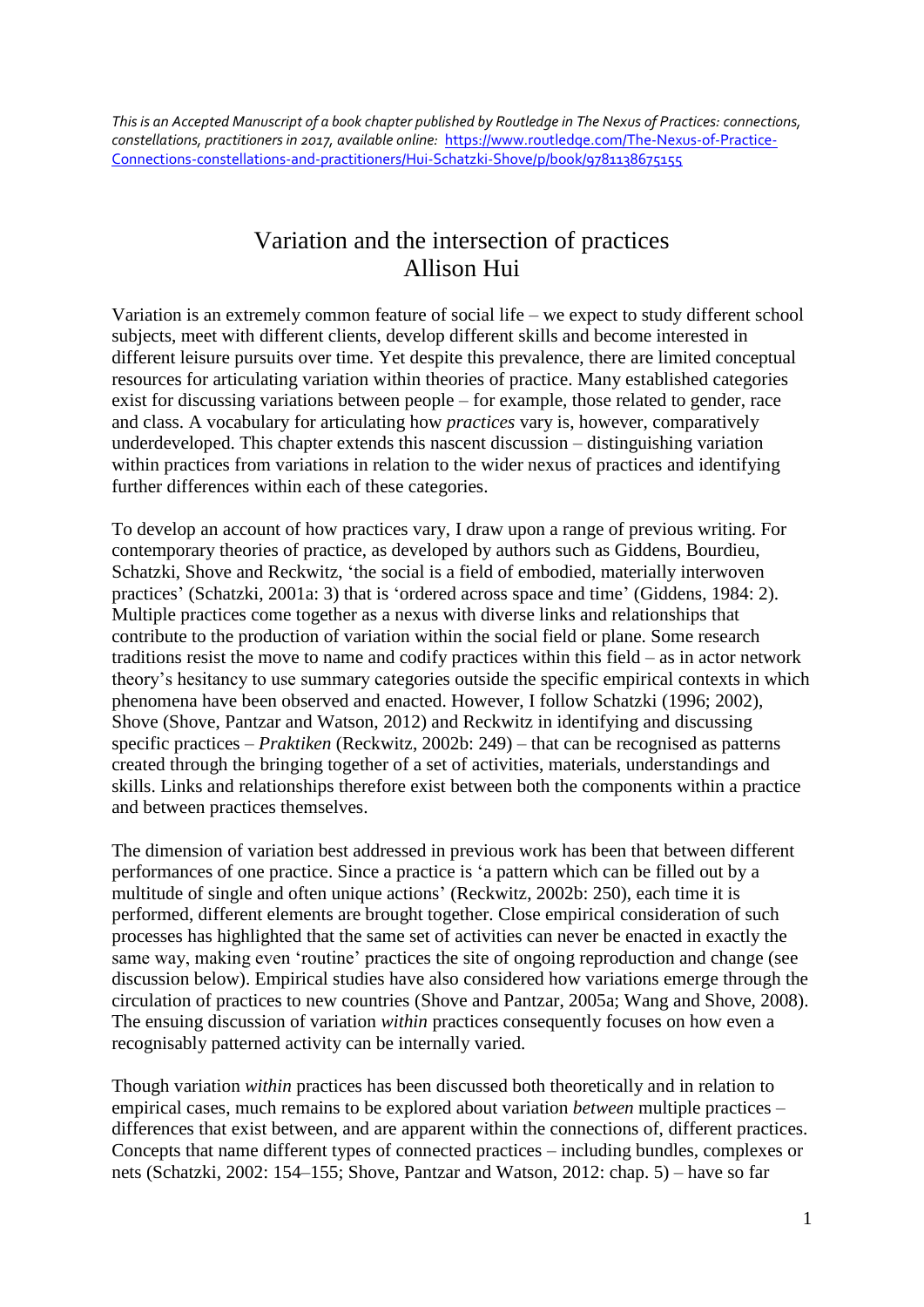*This is an Accepted Manuscript of a book chapter published by Routledge in The Nexus of Practices: connections, constellations, practitioners in 2017, available online:* [https://www.routledge.com/The-Nexus-of-Practice-](https://www.routledge.com/The-Nexus-of-Practice-Connections-constellations-and-practitioners/Hui-Schatzki-Shove/p/book/9781138675155)[Connections-constellations-and-practitioners/Hui-Schatzki-Shove/p/book/9781138675155](https://www.routledge.com/The-Nexus-of-Practice-Connections-constellations-and-practitioners/Hui-Schatzki-Shove/p/book/9781138675155)

# Variation and the intersection of practices Allison Hui

Variation is an extremely common feature of social life – we expect to study different school subjects, meet with different clients, develop different skills and become interested in different leisure pursuits over time. Yet despite this prevalence, there are limited conceptual resources for articulating variation within theories of practice. Many established categories exist for discussing variations between people – for example, those related to gender, race and class. A vocabulary for articulating how *practices* vary is, however, comparatively underdeveloped. This chapter extends this nascent discussion – distinguishing variation within practices from variations in relation to the wider nexus of practices and identifying further differences within each of these categories.

To develop an account of how practices vary, I draw upon a range of previous writing. For contemporary theories of practice, as developed by authors such as Giddens, Bourdieu, Schatzki, Shove and Reckwitz, 'the social is a field of embodied, materially interwoven practices' (Schatzki, 2001a: 3) that is 'ordered across space and time' (Giddens, 1984: 2). Multiple practices come together as a nexus with diverse links and relationships that contribute to the production of variation within the social field or plane. Some research traditions resist the move to name and codify practices within this field – as in actor network theory's hesitancy to use summary categories outside the specific empirical contexts in which phenomena have been observed and enacted. However, I follow Schatzki (1996; 2002), Shove (Shove, Pantzar and Watson, 2012) and Reckwitz in identifying and discussing specific practices – *Praktiken* (Reckwitz, 2002b: 249) – that can be recognised as patterns created through the bringing together of a set of activities, materials, understandings and skills. Links and relationships therefore exist between both the components within a practice and between practices themselves.

The dimension of variation best addressed in previous work has been that between different performances of one practice. Since a practice is 'a pattern which can be filled out by a multitude of single and often unique actions' (Reckwitz, 2002b: 250), each time it is performed, different elements are brought together. Close empirical consideration of such processes has highlighted that the same set of activities can never be enacted in exactly the same way, making even 'routine' practices the site of ongoing reproduction and change (see discussion below). Empirical studies have also considered how variations emerge through the circulation of practices to new countries (Shove and Pantzar, 2005a; Wang and Shove, 2008). The ensuing discussion of variation *within* practices consequently focuses on how even a recognisably patterned activity can be internally varied.

Though variation *within* practices has been discussed both theoretically and in relation to empirical cases, much remains to be explored about variation *between* multiple practices – differences that exist between, and are apparent within the connections of, different practices. Concepts that name different types of connected practices – including bundles, complexes or nets (Schatzki, 2002: 154–155; Shove, Pantzar and Watson, 2012: chap. 5) – have so far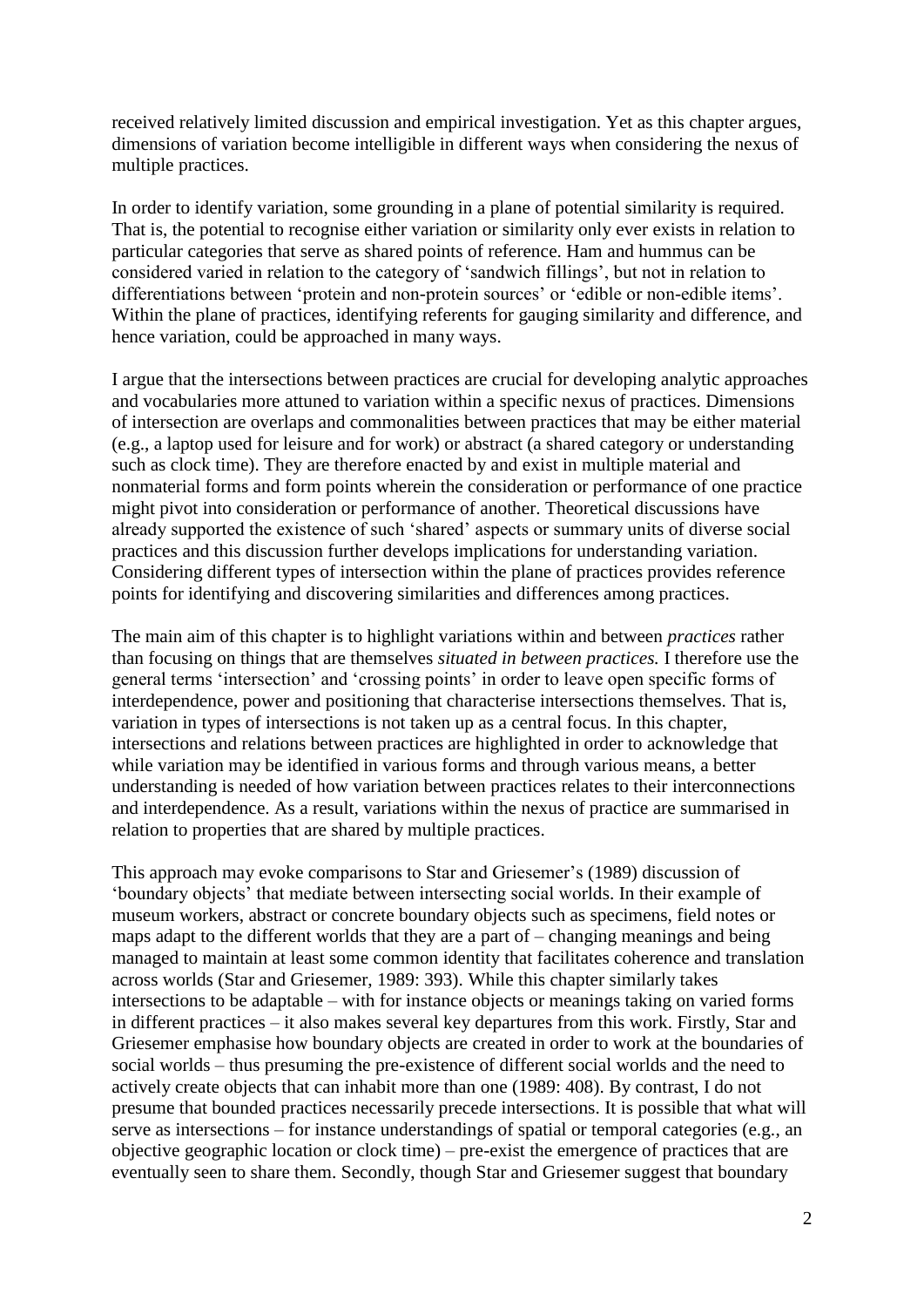received relatively limited discussion and empirical investigation. Yet as this chapter argues, dimensions of variation become intelligible in different ways when considering the nexus of multiple practices.

In order to identify variation, some grounding in a plane of potential similarity is required. That is, the potential to recognise either variation or similarity only ever exists in relation to particular categories that serve as shared points of reference. Ham and hummus can be considered varied in relation to the category of 'sandwich fillings', but not in relation to differentiations between 'protein and non-protein sources' or 'edible or non-edible items'. Within the plane of practices, identifying referents for gauging similarity and difference, and hence variation, could be approached in many ways.

I argue that the intersections between practices are crucial for developing analytic approaches and vocabularies more attuned to variation within a specific nexus of practices. Dimensions of intersection are overlaps and commonalities between practices that may be either material (e.g., a laptop used for leisure and for work) or abstract (a shared category or understanding such as clock time). They are therefore enacted by and exist in multiple material and nonmaterial forms and form points wherein the consideration or performance of one practice might pivot into consideration or performance of another. Theoretical discussions have already supported the existence of such 'shared' aspects or summary units of diverse social practices and this discussion further develops implications for understanding variation. Considering different types of intersection within the plane of practices provides reference points for identifying and discovering similarities and differences among practices.

The main aim of this chapter is to highlight variations within and between *practices* rather than focusing on things that are themselves *situated in between practices.* I therefore use the general terms 'intersection' and 'crossing points' in order to leave open specific forms of interdependence, power and positioning that characterise intersections themselves. That is, variation in types of intersections is not taken up as a central focus. In this chapter, intersections and relations between practices are highlighted in order to acknowledge that while variation may be identified in various forms and through various means, a better understanding is needed of how variation between practices relates to their interconnections and interdependence. As a result, variations within the nexus of practice are summarised in relation to properties that are shared by multiple practices.

This approach may evoke comparisons to Star and Griesemer's (1989) discussion of 'boundary objects' that mediate between intersecting social worlds. In their example of museum workers, abstract or concrete boundary objects such as specimens, field notes or maps adapt to the different worlds that they are a part of – changing meanings and being managed to maintain at least some common identity that facilitates coherence and translation across worlds (Star and Griesemer, 1989: 393). While this chapter similarly takes intersections to be adaptable – with for instance objects or meanings taking on varied forms in different practices – it also makes several key departures from this work. Firstly, Star and Griesemer emphasise how boundary objects are created in order to work at the boundaries of social worlds – thus presuming the pre-existence of different social worlds and the need to actively create objects that can inhabit more than one (1989: 408). By contrast, I do not presume that bounded practices necessarily precede intersections. It is possible that what will serve as intersections – for instance understandings of spatial or temporal categories (e.g., an objective geographic location or clock time) – pre-exist the emergence of practices that are eventually seen to share them. Secondly, though Star and Griesemer suggest that boundary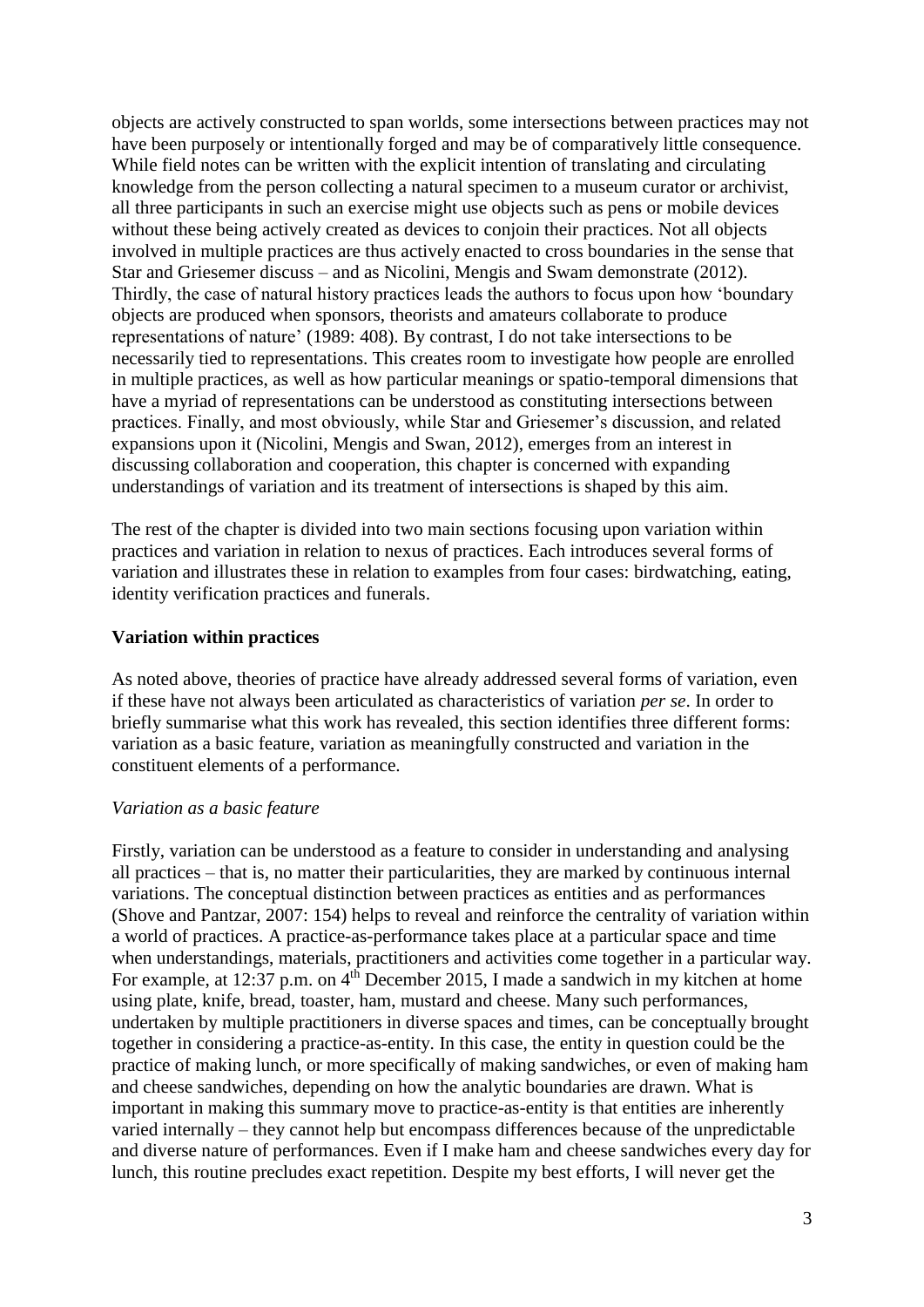objects are actively constructed to span worlds, some intersections between practices may not have been purposely or intentionally forged and may be of comparatively little consequence. While field notes can be written with the explicit intention of translating and circulating knowledge from the person collecting a natural specimen to a museum curator or archivist, all three participants in such an exercise might use objects such as pens or mobile devices without these being actively created as devices to conjoin their practices. Not all objects involved in multiple practices are thus actively enacted to cross boundaries in the sense that Star and Griesemer discuss – and as Nicolini, Mengis and Swam demonstrate (2012). Thirdly, the case of natural history practices leads the authors to focus upon how 'boundary objects are produced when sponsors, theorists and amateurs collaborate to produce representations of nature' (1989: 408). By contrast, I do not take intersections to be necessarily tied to representations. This creates room to investigate how people are enrolled in multiple practices, as well as how particular meanings or spatio-temporal dimensions that have a myriad of representations can be understood as constituting intersections between practices. Finally, and most obviously, while Star and Griesemer's discussion, and related expansions upon it (Nicolini, Mengis and Swan, 2012), emerges from an interest in discussing collaboration and cooperation, this chapter is concerned with expanding understandings of variation and its treatment of intersections is shaped by this aim.

The rest of the chapter is divided into two main sections focusing upon variation within practices and variation in relation to nexus of practices. Each introduces several forms of variation and illustrates these in relation to examples from four cases: birdwatching, eating, identity verification practices and funerals.

## **Variation within practices**

As noted above, theories of practice have already addressed several forms of variation, even if these have not always been articulated as characteristics of variation *per se*. In order to briefly summarise what this work has revealed, this section identifies three different forms: variation as a basic feature, variation as meaningfully constructed and variation in the constituent elements of a performance.

## *Variation as a basic feature*

Firstly, variation can be understood as a feature to consider in understanding and analysing all practices – that is, no matter their particularities, they are marked by continuous internal variations. The conceptual distinction between practices as entities and as performances (Shove and Pantzar, 2007: 154) helps to reveal and reinforce the centrality of variation within a world of practices. A practice-as-performance takes place at a particular space and time when understandings, materials, practitioners and activities come together in a particular way. For example, at 12:37 p.m. on 4<sup>th</sup> December 2015, I made a sandwich in my kitchen at home using plate, knife, bread, toaster, ham, mustard and cheese. Many such performances, undertaken by multiple practitioners in diverse spaces and times, can be conceptually brought together in considering a practice-as-entity. In this case, the entity in question could be the practice of making lunch, or more specifically of making sandwiches, or even of making ham and cheese sandwiches, depending on how the analytic boundaries are drawn. What is important in making this summary move to practice-as-entity is that entities are inherently varied internally – they cannot help but encompass differences because of the unpredictable and diverse nature of performances. Even if I make ham and cheese sandwiches every day for lunch, this routine precludes exact repetition. Despite my best efforts, I will never get the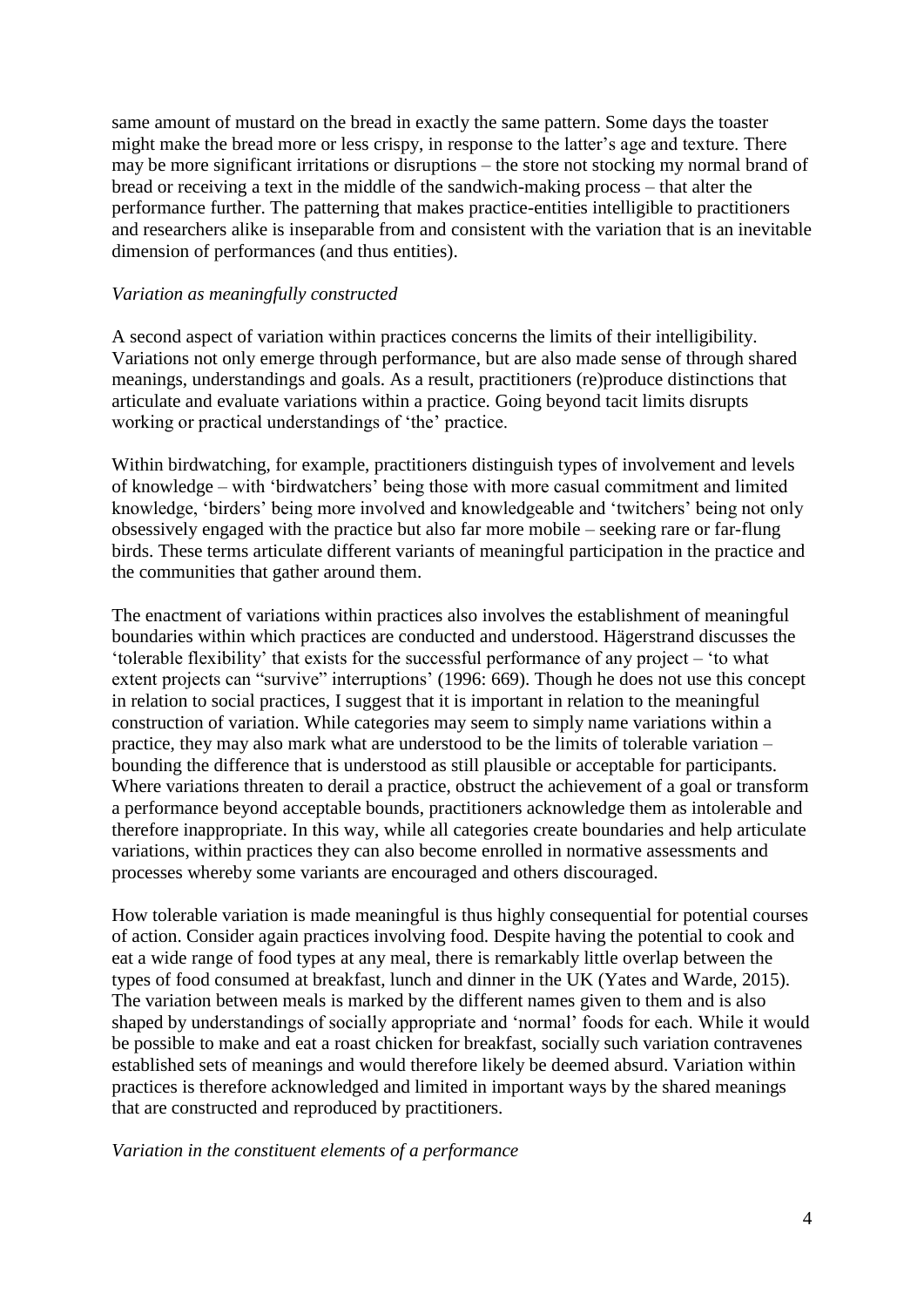same amount of mustard on the bread in exactly the same pattern. Some days the toaster might make the bread more or less crispy, in response to the latter's age and texture. There may be more significant irritations or disruptions – the store not stocking my normal brand of bread or receiving a text in the middle of the sandwich-making process – that alter the performance further. The patterning that makes practice-entities intelligible to practitioners and researchers alike is inseparable from and consistent with the variation that is an inevitable dimension of performances (and thus entities).

#### *Variation as meaningfully constructed*

A second aspect of variation within practices concerns the limits of their intelligibility. Variations not only emerge through performance, but are also made sense of through shared meanings, understandings and goals. As a result, practitioners (re)produce distinctions that articulate and evaluate variations within a practice. Going beyond tacit limits disrupts working or practical understandings of 'the' practice.

Within birdwatching, for example, practitioners distinguish types of involvement and levels of knowledge – with 'birdwatchers' being those with more casual commitment and limited knowledge, 'birders' being more involved and knowledgeable and 'twitchers' being not only obsessively engaged with the practice but also far more mobile – seeking rare or far-flung birds. These terms articulate different variants of meaningful participation in the practice and the communities that gather around them.

The enactment of variations within practices also involves the establishment of meaningful boundaries within which practices are conducted and understood. Hägerstrand discusses the 'tolerable flexibility' that exists for the successful performance of any project – 'to what extent projects can "survive" interruptions' (1996: 669). Though he does not use this concept in relation to social practices, I suggest that it is important in relation to the meaningful construction of variation. While categories may seem to simply name variations within a practice, they may also mark what are understood to be the limits of tolerable variation – bounding the difference that is understood as still plausible or acceptable for participants. Where variations threaten to derail a practice, obstruct the achievement of a goal or transform a performance beyond acceptable bounds, practitioners acknowledge them as intolerable and therefore inappropriate. In this way, while all categories create boundaries and help articulate variations, within practices they can also become enrolled in normative assessments and processes whereby some variants are encouraged and others discouraged.

How tolerable variation is made meaningful is thus highly consequential for potential courses of action. Consider again practices involving food. Despite having the potential to cook and eat a wide range of food types at any meal, there is remarkably little overlap between the types of food consumed at breakfast, lunch and dinner in the UK (Yates and Warde, 2015). The variation between meals is marked by the different names given to them and is also shaped by understandings of socially appropriate and 'normal' foods for each. While it would be possible to make and eat a roast chicken for breakfast, socially such variation contravenes established sets of meanings and would therefore likely be deemed absurd. Variation within practices is therefore acknowledged and limited in important ways by the shared meanings that are constructed and reproduced by practitioners.

## *Variation in the constituent elements of a performance*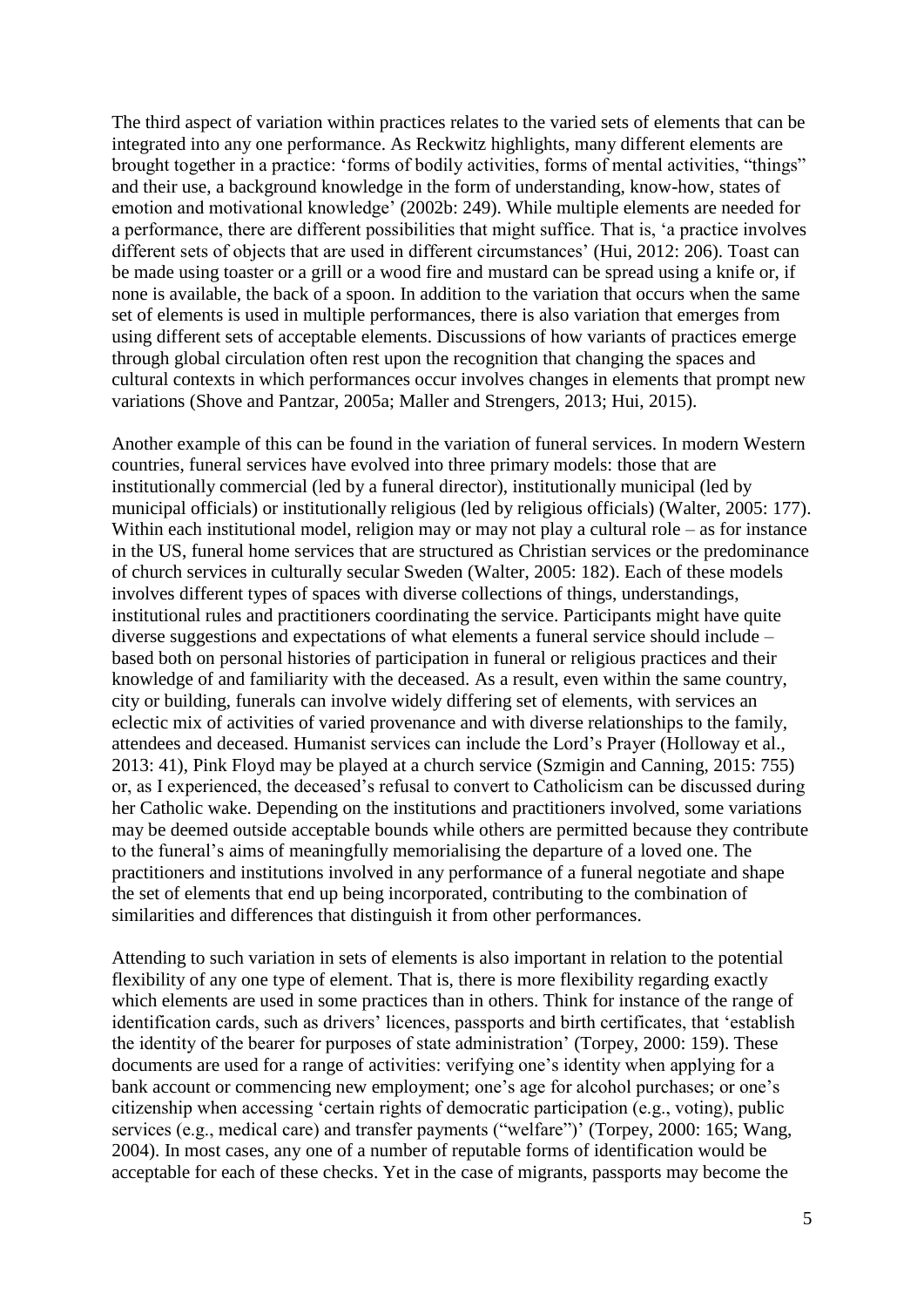The third aspect of variation within practices relates to the varied sets of elements that can be integrated into any one performance. As Reckwitz highlights, many different elements are brought together in a practice: 'forms of bodily activities, forms of mental activities, "things" and their use, a background knowledge in the form of understanding, know-how, states of emotion and motivational knowledge' (2002b: 249). While multiple elements are needed for a performance, there are different possibilities that might suffice. That is, 'a practice involves different sets of objects that are used in different circumstances' (Hui, 2012: 206). Toast can be made using toaster or a grill or a wood fire and mustard can be spread using a knife or, if none is available, the back of a spoon. In addition to the variation that occurs when the same set of elements is used in multiple performances, there is also variation that emerges from using different sets of acceptable elements. Discussions of how variants of practices emerge through global circulation often rest upon the recognition that changing the spaces and cultural contexts in which performances occur involves changes in elements that prompt new variations (Shove and Pantzar, 2005a; Maller and Strengers, 2013; Hui, 2015).

Another example of this can be found in the variation of funeral services. In modern Western countries, funeral services have evolved into three primary models: those that are institutionally commercial (led by a funeral director), institutionally municipal (led by municipal officials) or institutionally religious (led by religious officials) (Walter, 2005: 177). Within each institutional model, religion may or may not play a cultural role – as for instance in the US, funeral home services that are structured as Christian services or the predominance of church services in culturally secular Sweden (Walter, 2005: 182). Each of these models involves different types of spaces with diverse collections of things, understandings, institutional rules and practitioners coordinating the service. Participants might have quite diverse suggestions and expectations of what elements a funeral service should include – based both on personal histories of participation in funeral or religious practices and their knowledge of and familiarity with the deceased. As a result, even within the same country, city or building, funerals can involve widely differing set of elements, with services an eclectic mix of activities of varied provenance and with diverse relationships to the family, attendees and deceased. Humanist services can include the Lord's Prayer (Holloway et al., 2013: 41), Pink Floyd may be played at a church service (Szmigin and Canning, 2015: 755) or, as I experienced, the deceased's refusal to convert to Catholicism can be discussed during her Catholic wake. Depending on the institutions and practitioners involved, some variations may be deemed outside acceptable bounds while others are permitted because they contribute to the funeral's aims of meaningfully memorialising the departure of a loved one. The practitioners and institutions involved in any performance of a funeral negotiate and shape the set of elements that end up being incorporated, contributing to the combination of similarities and differences that distinguish it from other performances.

Attending to such variation in sets of elements is also important in relation to the potential flexibility of any one type of element. That is, there is more flexibility regarding exactly which elements are used in some practices than in others. Think for instance of the range of identification cards, such as drivers' licences, passports and birth certificates, that 'establish the identity of the bearer for purposes of state administration' (Torpey, 2000: 159). These documents are used for a range of activities: verifying one's identity when applying for a bank account or commencing new employment; one's age for alcohol purchases; or one's citizenship when accessing 'certain rights of democratic participation (e.g., voting), public services (e.g., medical care) and transfer payments ("welfare")' (Torpey, 2000: 165; Wang, 2004). In most cases, any one of a number of reputable forms of identification would be acceptable for each of these checks. Yet in the case of migrants, passports may become the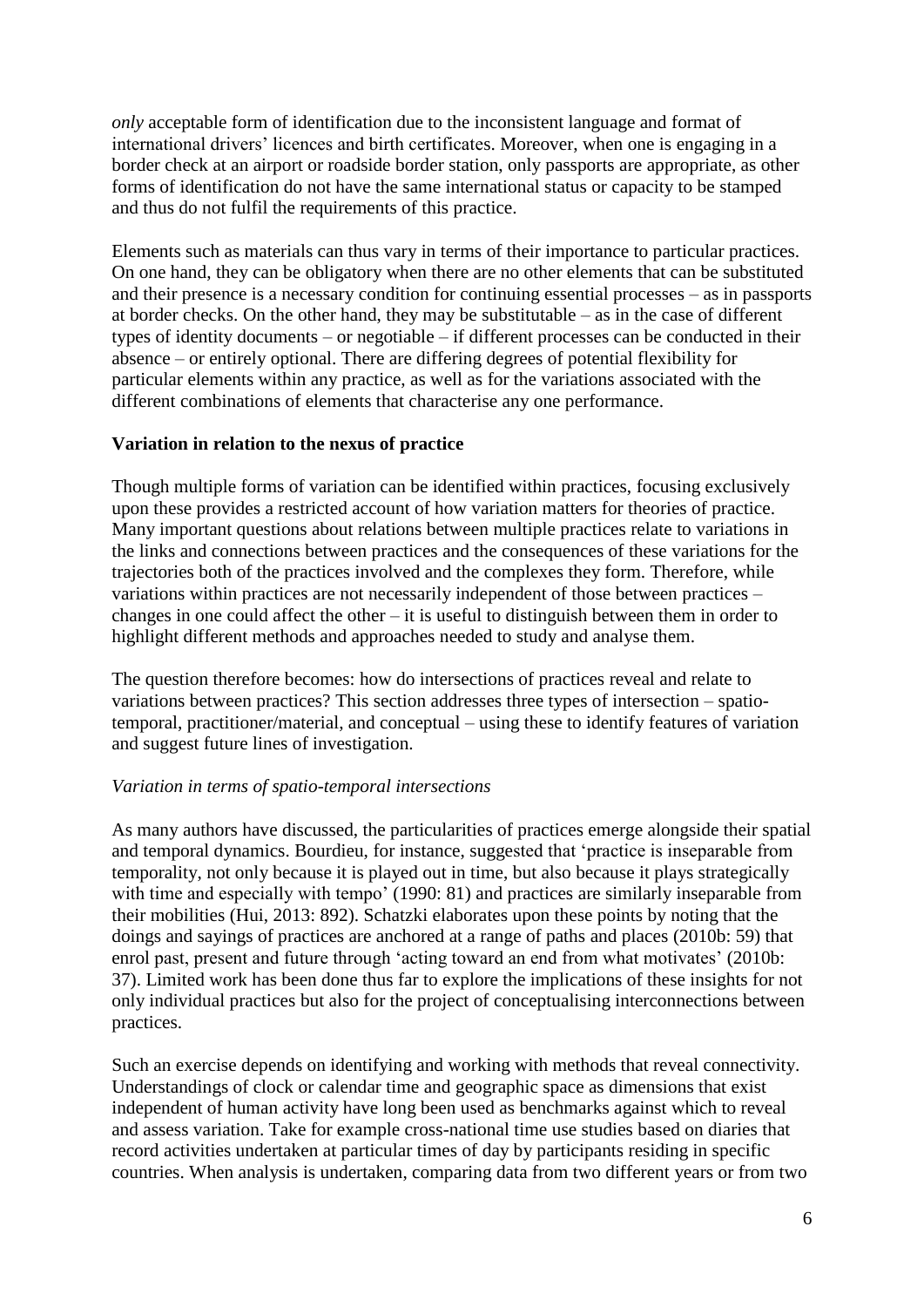*only* acceptable form of identification due to the inconsistent language and format of international drivers' licences and birth certificates. Moreover, when one is engaging in a border check at an airport or roadside border station, only passports are appropriate, as other forms of identification do not have the same international status or capacity to be stamped and thus do not fulfil the requirements of this practice.

Elements such as materials can thus vary in terms of their importance to particular practices. On one hand, they can be obligatory when there are no other elements that can be substituted and their presence is a necessary condition for continuing essential processes – as in passports at border checks. On the other hand, they may be substitutable – as in the case of different types of identity documents – or negotiable – if different processes can be conducted in their absence – or entirely optional. There are differing degrees of potential flexibility for particular elements within any practice, as well as for the variations associated with the different combinations of elements that characterise any one performance.

## **Variation in relation to the nexus of practice**

Though multiple forms of variation can be identified within practices, focusing exclusively upon these provides a restricted account of how variation matters for theories of practice. Many important questions about relations between multiple practices relate to variations in the links and connections between practices and the consequences of these variations for the trajectories both of the practices involved and the complexes they form. Therefore, while variations within practices are not necessarily independent of those between practices – changes in one could affect the other – it is useful to distinguish between them in order to highlight different methods and approaches needed to study and analyse them.

The question therefore becomes: how do intersections of practices reveal and relate to variations between practices? This section addresses three types of intersection – spatiotemporal, practitioner/material, and conceptual – using these to identify features of variation and suggest future lines of investigation.

## *Variation in terms of spatio-temporal intersections*

As many authors have discussed, the particularities of practices emerge alongside their spatial and temporal dynamics. Bourdieu, for instance, suggested that 'practice is inseparable from temporality, not only because it is played out in time, but also because it plays strategically with time and especially with tempo' (1990: 81) and practices are similarly inseparable from their mobilities (Hui, 2013: 892). Schatzki elaborates upon these points by noting that the doings and sayings of practices are anchored at a range of paths and places (2010b: 59) that enrol past, present and future through 'acting toward an end from what motivates' (2010b: 37). Limited work has been done thus far to explore the implications of these insights for not only individual practices but also for the project of conceptualising interconnections between practices.

Such an exercise depends on identifying and working with methods that reveal connectivity. Understandings of clock or calendar time and geographic space as dimensions that exist independent of human activity have long been used as benchmarks against which to reveal and assess variation. Take for example cross-national time use studies based on diaries that record activities undertaken at particular times of day by participants residing in specific countries. When analysis is undertaken, comparing data from two different years or from two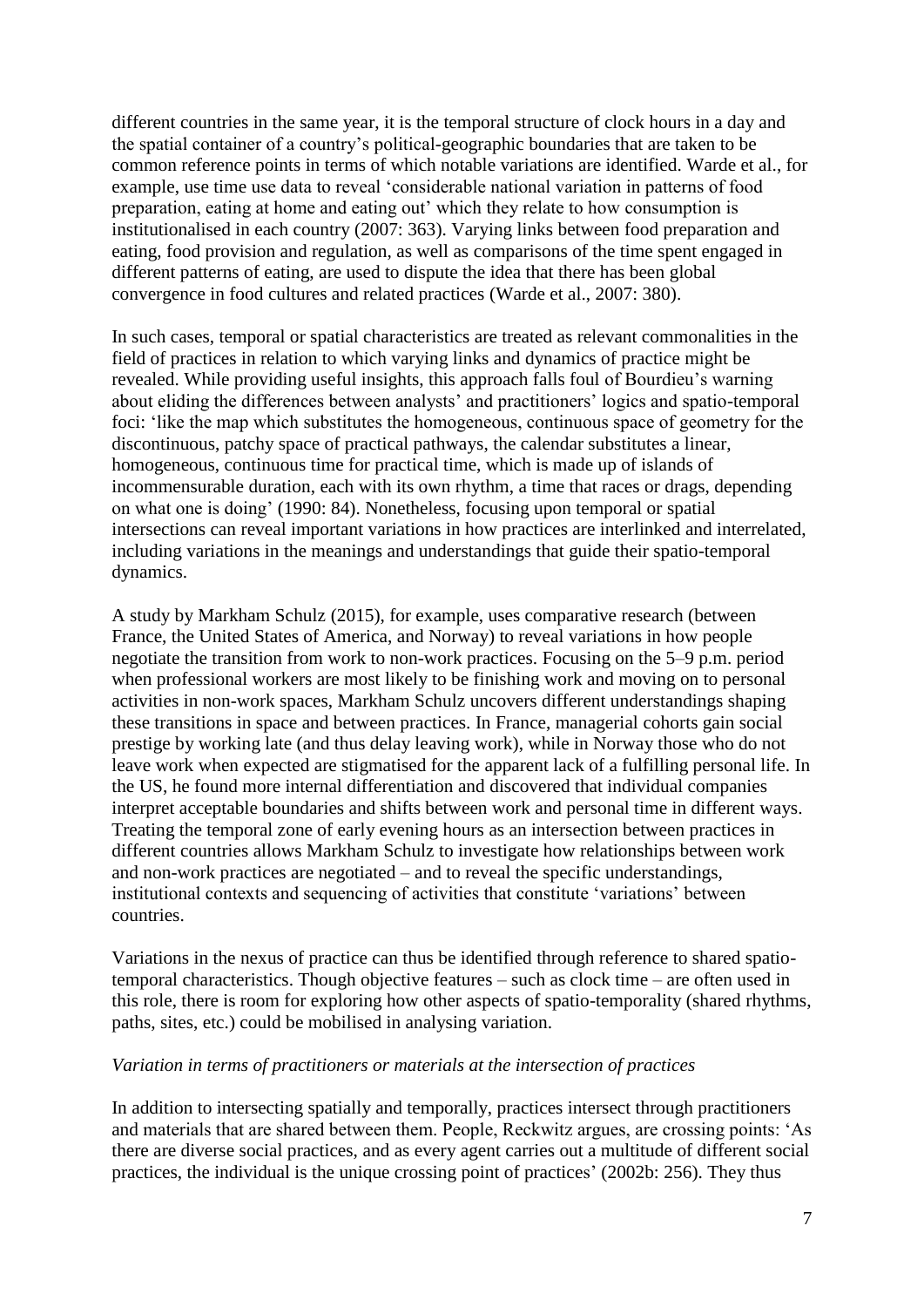different countries in the same year, it is the temporal structure of clock hours in a day and the spatial container of a country's political-geographic boundaries that are taken to be common reference points in terms of which notable variations are identified. Warde et al., for example, use time use data to reveal 'considerable national variation in patterns of food preparation, eating at home and eating out' which they relate to how consumption is institutionalised in each country (2007: 363). Varying links between food preparation and eating, food provision and regulation, as well as comparisons of the time spent engaged in different patterns of eating, are used to dispute the idea that there has been global convergence in food cultures and related practices (Warde et al., 2007: 380).

In such cases, temporal or spatial characteristics are treated as relevant commonalities in the field of practices in relation to which varying links and dynamics of practice might be revealed. While providing useful insights, this approach falls foul of Bourdieu's warning about eliding the differences between analysts' and practitioners' logics and spatio-temporal foci: 'like the map which substitutes the homogeneous, continuous space of geometry for the discontinuous, patchy space of practical pathways, the calendar substitutes a linear, homogeneous, continuous time for practical time, which is made up of islands of incommensurable duration, each with its own rhythm, a time that races or drags, depending on what one is doing' (1990: 84). Nonetheless, focusing upon temporal or spatial intersections can reveal important variations in how practices are interlinked and interrelated, including variations in the meanings and understandings that guide their spatio-temporal dynamics.

A study by Markham Schulz (2015), for example, uses comparative research (between France, the United States of America, and Norway) to reveal variations in how people negotiate the transition from work to non-work practices. Focusing on the 5–9 p.m. period when professional workers are most likely to be finishing work and moving on to personal activities in non-work spaces, Markham Schulz uncovers different understandings shaping these transitions in space and between practices. In France, managerial cohorts gain social prestige by working late (and thus delay leaving work), while in Norway those who do not leave work when expected are stigmatised for the apparent lack of a fulfilling personal life. In the US, he found more internal differentiation and discovered that individual companies interpret acceptable boundaries and shifts between work and personal time in different ways. Treating the temporal zone of early evening hours as an intersection between practices in different countries allows Markham Schulz to investigate how relationships between work and non-work practices are negotiated – and to reveal the specific understandings, institutional contexts and sequencing of activities that constitute 'variations' between countries.

Variations in the nexus of practice can thus be identified through reference to shared spatiotemporal characteristics. Though objective features – such as clock time – are often used in this role, there is room for exploring how other aspects of spatio-temporality (shared rhythms, paths, sites, etc.) could be mobilised in analysing variation.

## *Variation in terms of practitioners or materials at the intersection of practices*

In addition to intersecting spatially and temporally, practices intersect through practitioners and materials that are shared between them. People, Reckwitz argues, are crossing points: 'As there are diverse social practices, and as every agent carries out a multitude of different social practices, the individual is the unique crossing point of practices' (2002b: 256). They thus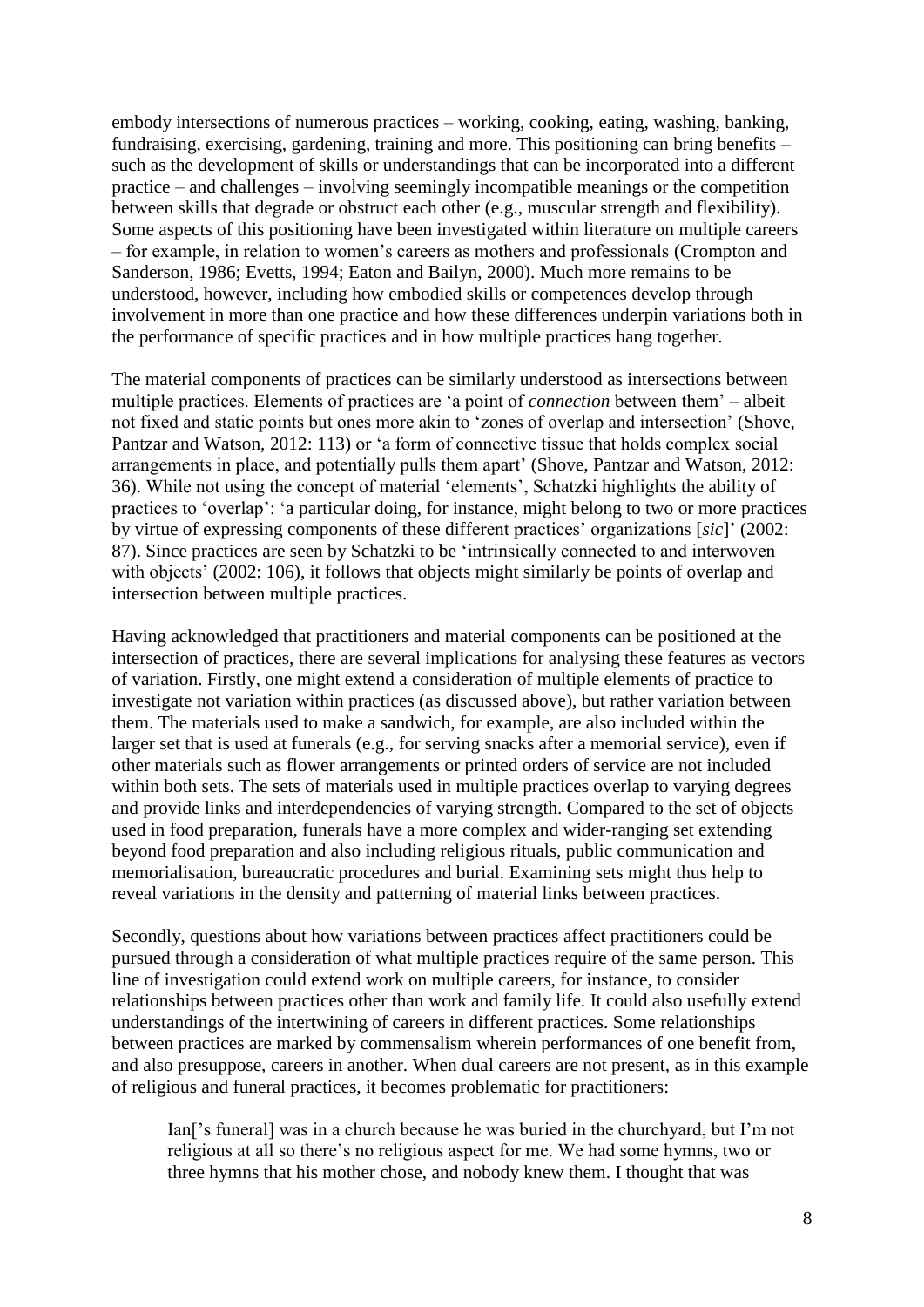embody intersections of numerous practices – working, cooking, eating, washing, banking, fundraising, exercising, gardening, training and more. This positioning can bring benefits – such as the development of skills or understandings that can be incorporated into a different practice – and challenges – involving seemingly incompatible meanings or the competition between skills that degrade or obstruct each other (e.g., muscular strength and flexibility). Some aspects of this positioning have been investigated within literature on multiple careers – for example, in relation to women's careers as mothers and professionals (Crompton and Sanderson, 1986; Evetts, 1994; Eaton and Bailyn, 2000). Much more remains to be understood, however, including how embodied skills or competences develop through involvement in more than one practice and how these differences underpin variations both in the performance of specific practices and in how multiple practices hang together.

The material components of practices can be similarly understood as intersections between multiple practices. Elements of practices are 'a point of *connection* between them' – albeit not fixed and static points but ones more akin to 'zones of overlap and intersection' (Shove, Pantzar and Watson, 2012: 113) or 'a form of connective tissue that holds complex social arrangements in place, and potentially pulls them apart' (Shove, Pantzar and Watson, 2012: 36). While not using the concept of material 'elements', Schatzki highlights the ability of practices to 'overlap': 'a particular doing, for instance, might belong to two or more practices by virtue of expressing components of these different practices' organizations [*sic*]' (2002: 87). Since practices are seen by Schatzki to be 'intrinsically connected to and interwoven with objects' (2002: 106), it follows that objects might similarly be points of overlap and intersection between multiple practices.

Having acknowledged that practitioners and material components can be positioned at the intersection of practices, there are several implications for analysing these features as vectors of variation. Firstly, one might extend a consideration of multiple elements of practice to investigate not variation within practices (as discussed above), but rather variation between them. The materials used to make a sandwich, for example, are also included within the larger set that is used at funerals (e.g., for serving snacks after a memorial service), even if other materials such as flower arrangements or printed orders of service are not included within both sets. The sets of materials used in multiple practices overlap to varying degrees and provide links and interdependencies of varying strength. Compared to the set of objects used in food preparation, funerals have a more complex and wider-ranging set extending beyond food preparation and also including religious rituals, public communication and memorialisation, bureaucratic procedures and burial. Examining sets might thus help to reveal variations in the density and patterning of material links between practices.

Secondly, questions about how variations between practices affect practitioners could be pursued through a consideration of what multiple practices require of the same person. This line of investigation could extend work on multiple careers, for instance, to consider relationships between practices other than work and family life. It could also usefully extend understandings of the intertwining of careers in different practices. Some relationships between practices are marked by commensalism wherein performances of one benefit from, and also presuppose, careers in another. When dual careers are not present, as in this example of religious and funeral practices, it becomes problematic for practitioners:

Ian['s funeral] was in a church because he was buried in the churchyard, but I'm not religious at all so there's no religious aspect for me. We had some hymns, two or three hymns that his mother chose, and nobody knew them. I thought that was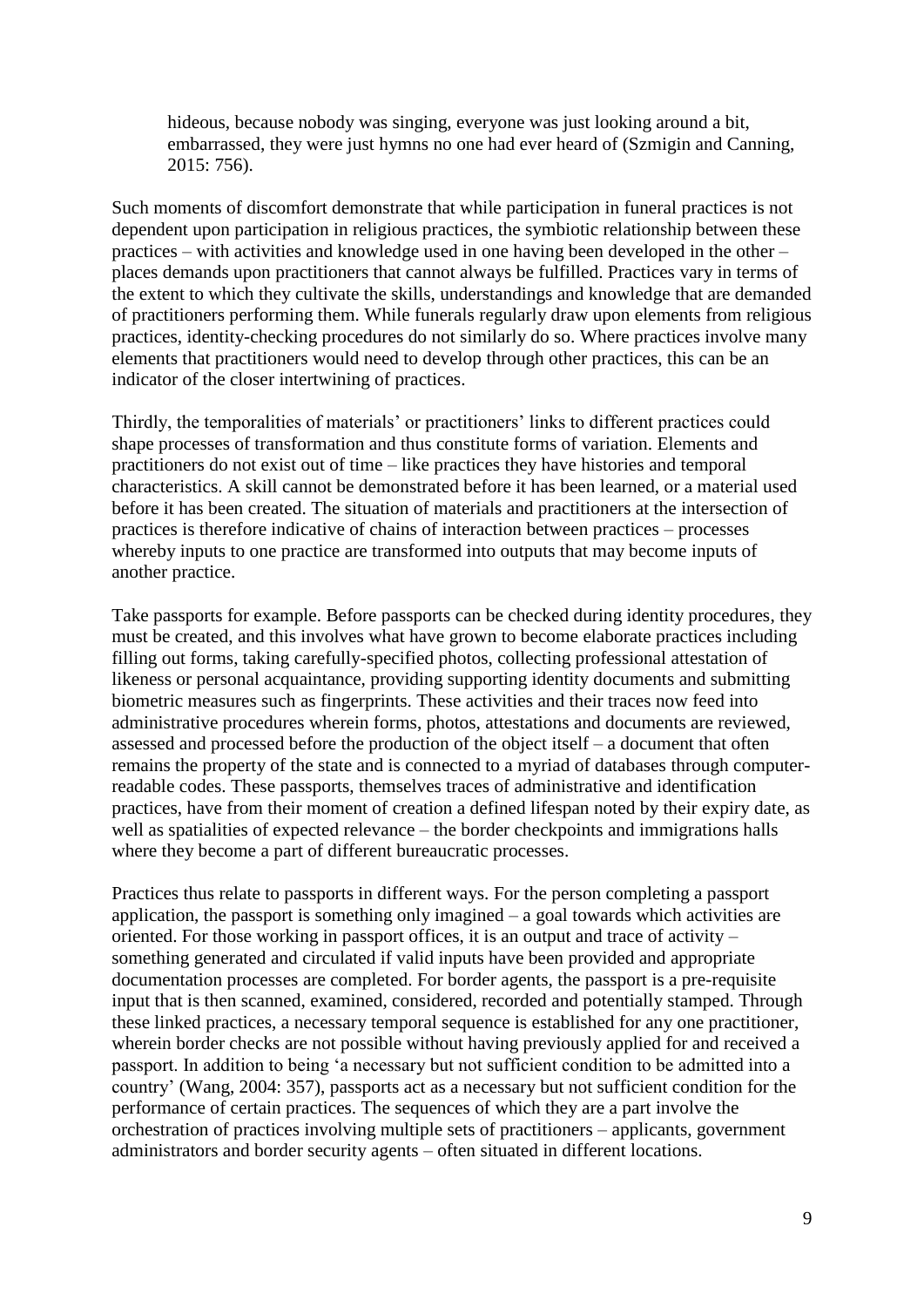hideous, because nobody was singing, everyone was just looking around a bit, embarrassed, they were just hymns no one had ever heard of (Szmigin and Canning, 2015: 756).

Such moments of discomfort demonstrate that while participation in funeral practices is not dependent upon participation in religious practices, the symbiotic relationship between these practices – with activities and knowledge used in one having been developed in the other – places demands upon practitioners that cannot always be fulfilled. Practices vary in terms of the extent to which they cultivate the skills, understandings and knowledge that are demanded of practitioners performing them. While funerals regularly draw upon elements from religious practices, identity-checking procedures do not similarly do so. Where practices involve many elements that practitioners would need to develop through other practices, this can be an indicator of the closer intertwining of practices.

Thirdly, the temporalities of materials' or practitioners' links to different practices could shape processes of transformation and thus constitute forms of variation. Elements and practitioners do not exist out of time – like practices they have histories and temporal characteristics. A skill cannot be demonstrated before it has been learned, or a material used before it has been created. The situation of materials and practitioners at the intersection of practices is therefore indicative of chains of interaction between practices – processes whereby inputs to one practice are transformed into outputs that may become inputs of another practice.

Take passports for example. Before passports can be checked during identity procedures, they must be created, and this involves what have grown to become elaborate practices including filling out forms, taking carefully-specified photos, collecting professional attestation of likeness or personal acquaintance, providing supporting identity documents and submitting biometric measures such as fingerprints. These activities and their traces now feed into administrative procedures wherein forms, photos, attestations and documents are reviewed, assessed and processed before the production of the object itself – a document that often remains the property of the state and is connected to a myriad of databases through computerreadable codes. These passports, themselves traces of administrative and identification practices, have from their moment of creation a defined lifespan noted by their expiry date, as well as spatialities of expected relevance – the border checkpoints and immigrations halls where they become a part of different bureaucratic processes.

Practices thus relate to passports in different ways. For the person completing a passport application, the passport is something only imagined – a goal towards which activities are oriented. For those working in passport offices, it is an output and trace of activity – something generated and circulated if valid inputs have been provided and appropriate documentation processes are completed. For border agents, the passport is a pre-requisite input that is then scanned, examined, considered, recorded and potentially stamped. Through these linked practices, a necessary temporal sequence is established for any one practitioner, wherein border checks are not possible without having previously applied for and received a passport. In addition to being 'a necessary but not sufficient condition to be admitted into a country' (Wang, 2004: 357), passports act as a necessary but not sufficient condition for the performance of certain practices. The sequences of which they are a part involve the orchestration of practices involving multiple sets of practitioners – applicants, government administrators and border security agents – often situated in different locations.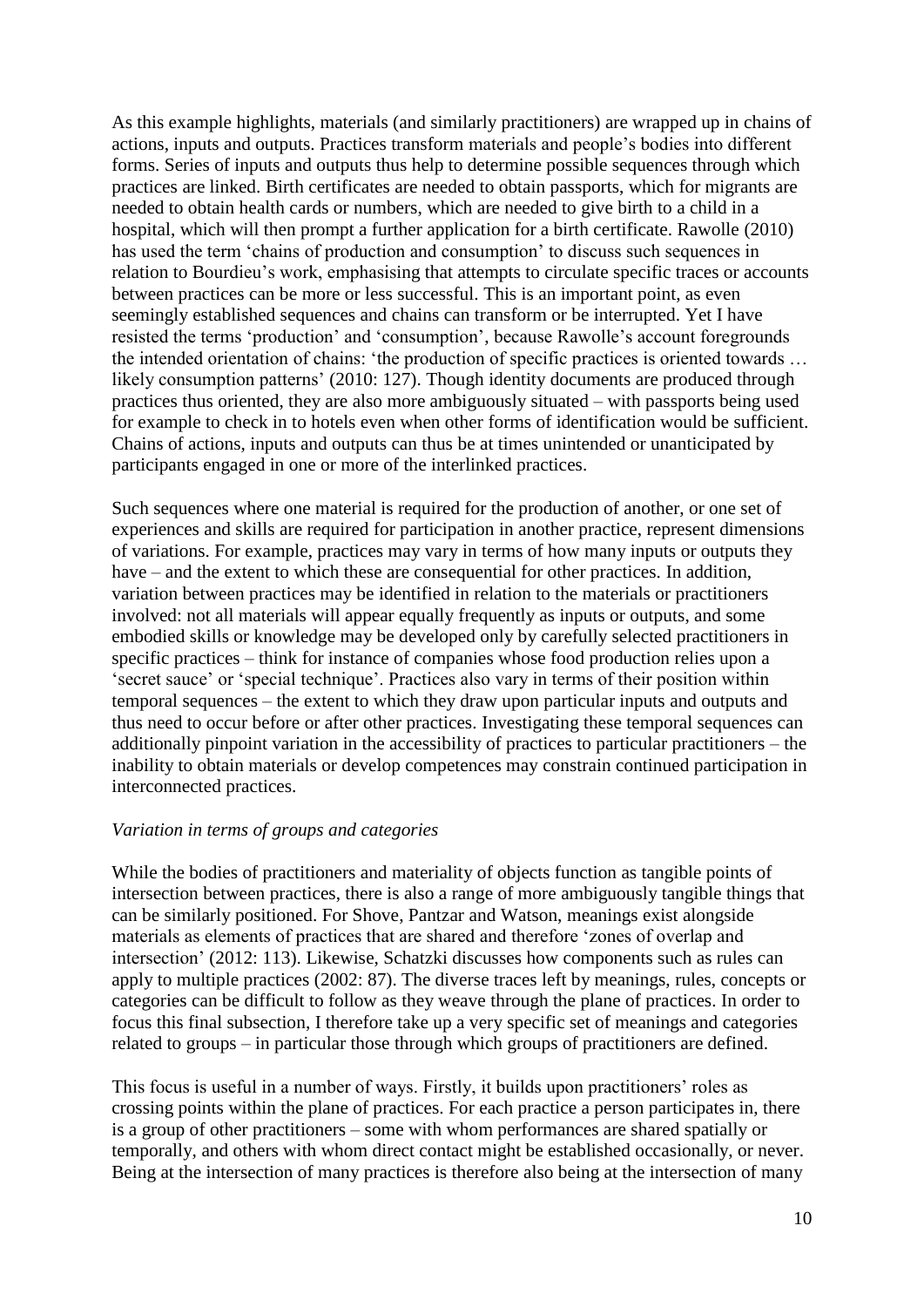As this example highlights, materials (and similarly practitioners) are wrapped up in chains of actions, inputs and outputs. Practices transform materials and people's bodies into different forms. Series of inputs and outputs thus help to determine possible sequences through which practices are linked. Birth certificates are needed to obtain passports, which for migrants are needed to obtain health cards or numbers, which are needed to give birth to a child in a hospital, which will then prompt a further application for a birth certificate. Rawolle (2010) has used the term 'chains of production and consumption' to discuss such sequences in relation to Bourdieu's work, emphasising that attempts to circulate specific traces or accounts between practices can be more or less successful. This is an important point, as even seemingly established sequences and chains can transform or be interrupted. Yet I have resisted the terms 'production' and 'consumption', because Rawolle's account foregrounds the intended orientation of chains: 'the production of specific practices is oriented towards … likely consumption patterns' (2010: 127). Though identity documents are produced through practices thus oriented, they are also more ambiguously situated – with passports being used for example to check in to hotels even when other forms of identification would be sufficient. Chains of actions, inputs and outputs can thus be at times unintended or unanticipated by participants engaged in one or more of the interlinked practices.

Such sequences where one material is required for the production of another, or one set of experiences and skills are required for participation in another practice, represent dimensions of variations. For example, practices may vary in terms of how many inputs or outputs they have – and the extent to which these are consequential for other practices. In addition, variation between practices may be identified in relation to the materials or practitioners involved: not all materials will appear equally frequently as inputs or outputs, and some embodied skills or knowledge may be developed only by carefully selected practitioners in specific practices – think for instance of companies whose food production relies upon a 'secret sauce' or 'special technique'. Practices also vary in terms of their position within temporal sequences – the extent to which they draw upon particular inputs and outputs and thus need to occur before or after other practices. Investigating these temporal sequences can additionally pinpoint variation in the accessibility of practices to particular practitioners – the inability to obtain materials or develop competences may constrain continued participation in interconnected practices.

## *Variation in terms of groups and categories*

While the bodies of practitioners and materiality of objects function as tangible points of intersection between practices, there is also a range of more ambiguously tangible things that can be similarly positioned. For Shove, Pantzar and Watson, meanings exist alongside materials as elements of practices that are shared and therefore 'zones of overlap and intersection' (2012: 113). Likewise, Schatzki discusses how components such as rules can apply to multiple practices (2002: 87). The diverse traces left by meanings, rules, concepts or categories can be difficult to follow as they weave through the plane of practices. In order to focus this final subsection, I therefore take up a very specific set of meanings and categories related to groups – in particular those through which groups of practitioners are defined.

This focus is useful in a number of ways. Firstly, it builds upon practitioners' roles as crossing points within the plane of practices. For each practice a person participates in, there is a group of other practitioners – some with whom performances are shared spatially or temporally, and others with whom direct contact might be established occasionally, or never. Being at the intersection of many practices is therefore also being at the intersection of many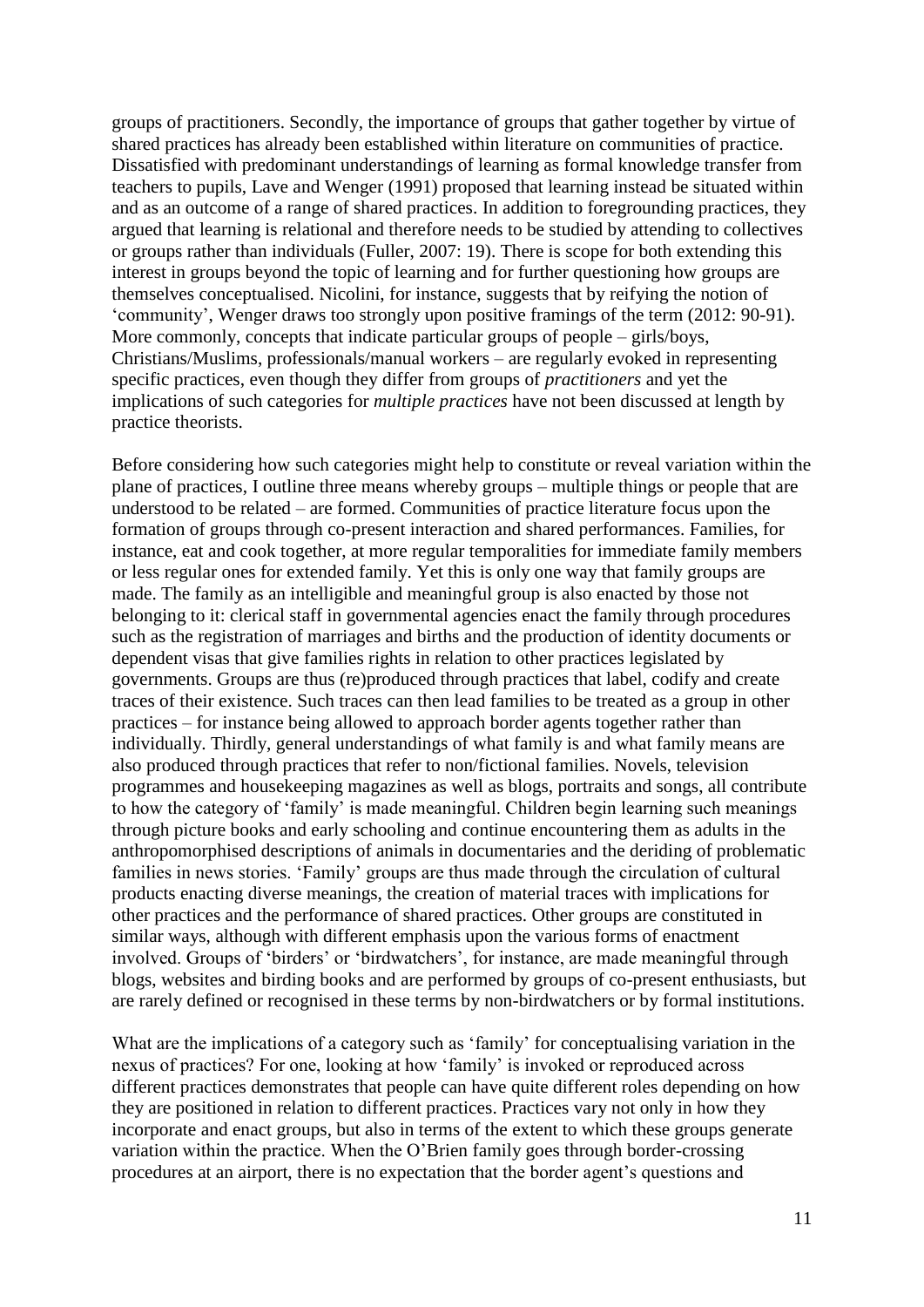groups of practitioners. Secondly, the importance of groups that gather together by virtue of shared practices has already been established within literature on communities of practice. Dissatisfied with predominant understandings of learning as formal knowledge transfer from teachers to pupils, Lave and Wenger (1991) proposed that learning instead be situated within and as an outcome of a range of shared practices. In addition to foregrounding practices, they argued that learning is relational and therefore needs to be studied by attending to collectives or groups rather than individuals (Fuller, 2007: 19). There is scope for both extending this interest in groups beyond the topic of learning and for further questioning how groups are themselves conceptualised. Nicolini, for instance, suggests that by reifying the notion of 'community', Wenger draws too strongly upon positive framings of the term (2012: 90-91). More commonly, concepts that indicate particular groups of people – girls/boys, Christians/Muslims, professionals/manual workers – are regularly evoked in representing specific practices, even though they differ from groups of *practitioners* and yet the implications of such categories for *multiple practices* have not been discussed at length by practice theorists.

Before considering how such categories might help to constitute or reveal variation within the plane of practices, I outline three means whereby groups – multiple things or people that are understood to be related – are formed. Communities of practice literature focus upon the formation of groups through co-present interaction and shared performances. Families, for instance, eat and cook together, at more regular temporalities for immediate family members or less regular ones for extended family. Yet this is only one way that family groups are made. The family as an intelligible and meaningful group is also enacted by those not belonging to it: clerical staff in governmental agencies enact the family through procedures such as the registration of marriages and births and the production of identity documents or dependent visas that give families rights in relation to other practices legislated by governments. Groups are thus (re)produced through practices that label, codify and create traces of their existence. Such traces can then lead families to be treated as a group in other practices – for instance being allowed to approach border agents together rather than individually. Thirdly, general understandings of what family is and what family means are also produced through practices that refer to non/fictional families. Novels, television programmes and housekeeping magazines as well as blogs, portraits and songs, all contribute to how the category of 'family' is made meaningful. Children begin learning such meanings through picture books and early schooling and continue encountering them as adults in the anthropomorphised descriptions of animals in documentaries and the deriding of problematic families in news stories. 'Family' groups are thus made through the circulation of cultural products enacting diverse meanings, the creation of material traces with implications for other practices and the performance of shared practices. Other groups are constituted in similar ways, although with different emphasis upon the various forms of enactment involved. Groups of 'birders' or 'birdwatchers', for instance, are made meaningful through blogs, websites and birding books and are performed by groups of co-present enthusiasts, but are rarely defined or recognised in these terms by non-birdwatchers or by formal institutions.

What are the implications of a category such as 'family' for conceptualising variation in the nexus of practices? For one, looking at how 'family' is invoked or reproduced across different practices demonstrates that people can have quite different roles depending on how they are positioned in relation to different practices. Practices vary not only in how they incorporate and enact groups, but also in terms of the extent to which these groups generate variation within the practice. When the O'Brien family goes through border-crossing procedures at an airport, there is no expectation that the border agent's questions and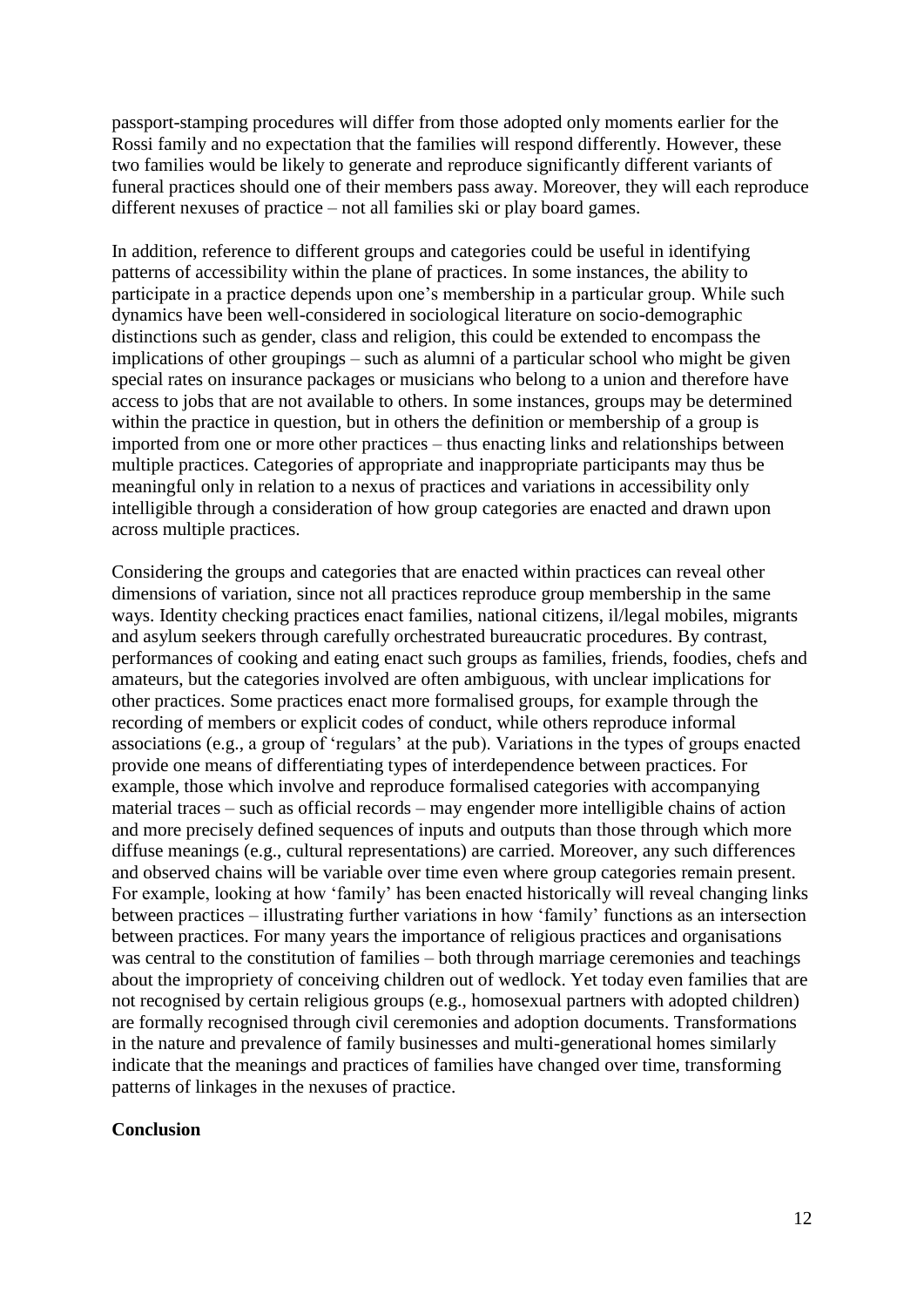passport-stamping procedures will differ from those adopted only moments earlier for the Rossi family and no expectation that the families will respond differently. However, these two families would be likely to generate and reproduce significantly different variants of funeral practices should one of their members pass away. Moreover, they will each reproduce different nexuses of practice – not all families ski or play board games.

In addition, reference to different groups and categories could be useful in identifying patterns of accessibility within the plane of practices. In some instances, the ability to participate in a practice depends upon one's membership in a particular group. While such dynamics have been well-considered in sociological literature on socio-demographic distinctions such as gender, class and religion, this could be extended to encompass the implications of other groupings – such as alumni of a particular school who might be given special rates on insurance packages or musicians who belong to a union and therefore have access to jobs that are not available to others. In some instances, groups may be determined within the practice in question, but in others the definition or membership of a group is imported from one or more other practices – thus enacting links and relationships between multiple practices. Categories of appropriate and inappropriate participants may thus be meaningful only in relation to a nexus of practices and variations in accessibility only intelligible through a consideration of how group categories are enacted and drawn upon across multiple practices.

Considering the groups and categories that are enacted within practices can reveal other dimensions of variation, since not all practices reproduce group membership in the same ways. Identity checking practices enact families, national citizens, il/legal mobiles, migrants and asylum seekers through carefully orchestrated bureaucratic procedures. By contrast, performances of cooking and eating enact such groups as families, friends, foodies, chefs and amateurs, but the categories involved are often ambiguous, with unclear implications for other practices. Some practices enact more formalised groups, for example through the recording of members or explicit codes of conduct, while others reproduce informal associations (e.g., a group of 'regulars' at the pub). Variations in the types of groups enacted provide one means of differentiating types of interdependence between practices. For example, those which involve and reproduce formalised categories with accompanying material traces – such as official records – may engender more intelligible chains of action and more precisely defined sequences of inputs and outputs than those through which more diffuse meanings (e.g., cultural representations) are carried. Moreover, any such differences and observed chains will be variable over time even where group categories remain present. For example, looking at how 'family' has been enacted historically will reveal changing links between practices – illustrating further variations in how 'family' functions as an intersection between practices. For many years the importance of religious practices and organisations was central to the constitution of families – both through marriage ceremonies and teachings about the impropriety of conceiving children out of wedlock. Yet today even families that are not recognised by certain religious groups (e.g., homosexual partners with adopted children) are formally recognised through civil ceremonies and adoption documents. Transformations in the nature and prevalence of family businesses and multi-generational homes similarly indicate that the meanings and practices of families have changed over time, transforming patterns of linkages in the nexuses of practice.

#### **Conclusion**